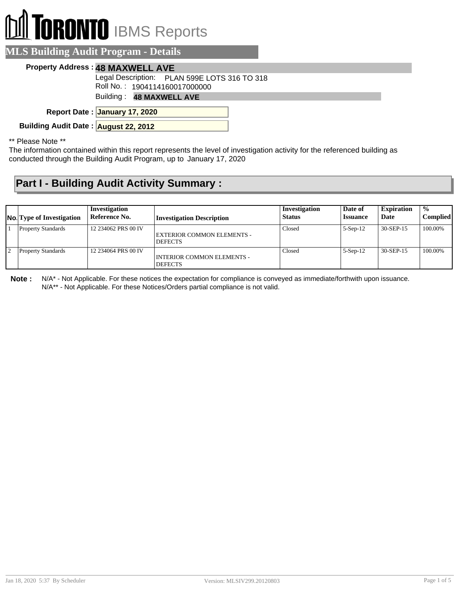# **RONTO** IBMS Reports

#### **MLS Building Audit Program - Details**

#### **Property Address : 48 MAXWELL AVE**

Legal Description: PLAN 599E LOTS 316 TO 318

Roll No. : 1904114160017000000

Building : **48 MAXWELL AVE**

**January 17, 2020 Report Date :**

**Building Audit Date : August 22, 2012**

\*\* Please Note \*\*

The information contained within this report represents the level of investigation activity for the referenced building as conducted through the Building Audit Program, up to January 17, 2020

### **Part I - Building Audit Activity Summary :**

| <b>No.</b> Type of Investigation | Investigation<br>Reference No. | <b>Investigation Description</b>             | Investigation<br><b>Status</b> | Date of<br><i><b>Issuance</b></i> | <b>Expiration</b><br>Date | $\frac{0}{0}$<br>Complied |
|----------------------------------|--------------------------------|----------------------------------------------|--------------------------------|-----------------------------------|---------------------------|---------------------------|
| <b>Property Standards</b>        | 12 234062 PRS 00 IV            | EXTERIOR COMMON ELEMENTS -<br><b>DEFECTS</b> | Closed                         | $5-Sep-12$                        | 30-SEP-15                 | 100.00%                   |
| <b>Property Standards</b>        | 12 234064 PRS 00 IV            | INTERIOR COMMON ELEMENTS -<br><b>DEFECTS</b> | Closed                         | $5-Sep-12$                        | 30-SEP-15                 | 100.00%                   |

**Note :** N/A\* - Not Applicable. For these notices the expectation for compliance is conveyed as immediate/forthwith upon issuance. N/A\*\* - Not Applicable. For these Notices/Orders partial compliance is not valid.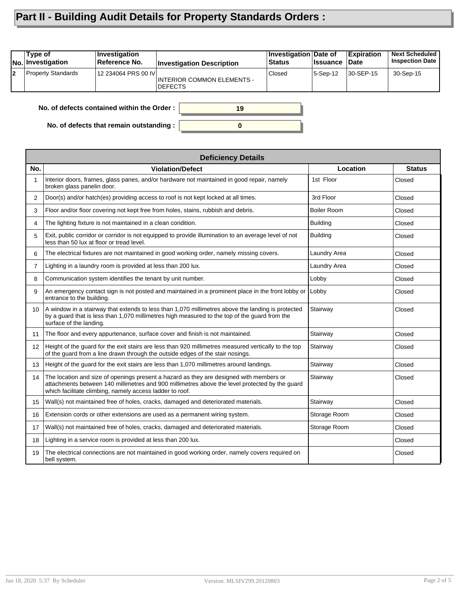## **Part II - Building Audit Details for Property Standards Orders :**

|    | Type of<br>No. Investigation                     | <b>Investigation</b><br>Reference No. | <b>Investigation Description</b>                    | Investigation Date of<br><b>Status</b> | <b>∣Issuance</b> | <b>Expiration</b><br><b>Date</b> | <b>Next Scheduled</b><br><b>Inspection Date</b> |
|----|--------------------------------------------------|---------------------------------------|-----------------------------------------------------|----------------------------------------|------------------|----------------------------------|-------------------------------------------------|
| l2 | <b>Property Standards</b>                        | 12 234064 PRS 00 IVI                  | <b>INTERIOR COMMON ELEMENTS -</b><br><b>DEFECTS</b> | Closed                                 | 5-Sep-12         | 30-SEP-15                        | 30-Sep-15                                       |
|    | No. of defects contained within the Order:<br>19 |                                       |                                                     |                                        |                  |                                  |                                                 |

**0**

**No. of defects that remain outstanding :**

|                 | <b>Deficiency Details</b>                                                                                                                                                                                                                             |                    |               |  |  |  |  |
|-----------------|-------------------------------------------------------------------------------------------------------------------------------------------------------------------------------------------------------------------------------------------------------|--------------------|---------------|--|--|--|--|
| No.             | <b>Violation/Defect</b>                                                                                                                                                                                                                               | Location           | <b>Status</b> |  |  |  |  |
| 1               | Interior doors, frames, glass panes, and/or hardware not maintained in good repair, namely<br>broken glass panelin door.                                                                                                                              | 1st Floor          | Closed        |  |  |  |  |
| $\overline{2}$  | Door(s) and/or hatch(es) providing access to roof is not kept locked at all times.                                                                                                                                                                    | 3rd Floor          | Closed        |  |  |  |  |
| 3               | Floor and/or floor covering not kept free from holes, stains, rubbish and debris.                                                                                                                                                                     | <b>Boiler Room</b> | Closed        |  |  |  |  |
| 4               | The lighting fixture is not maintained in a clean condition.                                                                                                                                                                                          | <b>Building</b>    | Closed        |  |  |  |  |
| 5               | Exit, public corridor or corridor is not equipped to provide illumination to an average level of not<br>less than 50 lux at floor or tread level.                                                                                                     | <b>Building</b>    | Closed        |  |  |  |  |
| 6               | The electrical fixtures are not maintained in good working order, namely missing covers.                                                                                                                                                              | Laundry Area       | Closed        |  |  |  |  |
| $\overline{7}$  | Lighting in a laundry room is provided at less than 200 lux.                                                                                                                                                                                          | Laundry Area       | Closed        |  |  |  |  |
| 8               | Communication system identifies the tenant by unit number.                                                                                                                                                                                            | Lobby              | Closed        |  |  |  |  |
| 9               | An emergency contact sign is not posted and maintained in a prominent place in the front lobby or<br>entrance to the building.                                                                                                                        | Lobby              | Closed        |  |  |  |  |
| 10 <sup>1</sup> | A window in a stairway that extends to less than 1,070 millimetres above the landing is protected<br>by a guard that is less than 1,070 millimetres high measured to the top of the guard from the<br>surface of the landing.                         | Stairway           | Closed        |  |  |  |  |
| 11              | The floor and every appurtenance, surface cover and finish is not maintained.                                                                                                                                                                         | Stairway           | Closed        |  |  |  |  |
| 12              | Height of the guard for the exit stairs are less than 920 millimetres measured vertically to the top<br>of the quard from a line drawn through the outside edges of the stair nosings.                                                                | Stairway           | Closed        |  |  |  |  |
| 13              | Height of the guard for the exit stairs are less than 1,070 millimetres around landings.                                                                                                                                                              | Stairway           | Closed        |  |  |  |  |
| 14              | The location and size of openings present a hazard as they are designed with members or<br>attachments between 140 millimetres and 900 millimetres above the level protected by the guard<br>which facilitate climbing, namely access ladder to roof. | Stairway           | Closed        |  |  |  |  |
| 15              | Wall(s) not maintained free of holes, cracks, damaged and deteriorated materials.                                                                                                                                                                     | Stairway           | Closed        |  |  |  |  |
| 16              | Extension cords or other extensions are used as a permanent wiring system.                                                                                                                                                                            | Storage Room       | Closed        |  |  |  |  |
| 17              | Wall(s) not maintained free of holes, cracks, damaged and deteriorated materials.                                                                                                                                                                     | Storage Room       | Closed        |  |  |  |  |
| 18              | Lighting in a service room is provided at less than 200 lux.                                                                                                                                                                                          |                    | Closed        |  |  |  |  |
| 19              | The electrical connections are not maintained in good working order, namely covers required on<br>bell system.                                                                                                                                        |                    | Closed        |  |  |  |  |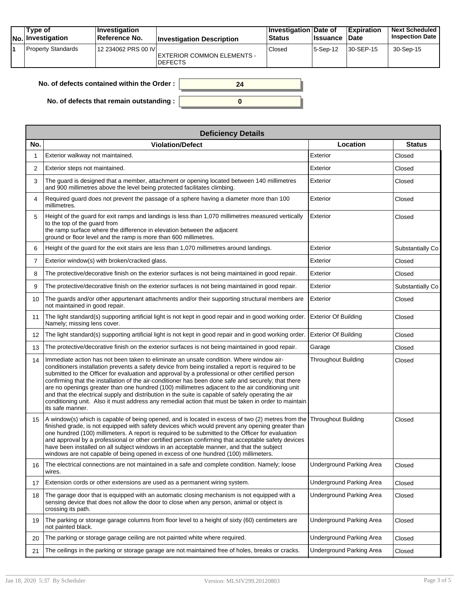| Type of<br><b>No. Investigation</b> | <b>Investigation</b><br>Reference No. | <b>Investigation Description</b>                    | Investigation Date of<br>Status | <b>Issuance</b> | <b>Expiration</b><br><b>Date</b> | <b>Next Scheduled</b><br><b>Inspection Date</b> |
|-------------------------------------|---------------------------------------|-----------------------------------------------------|---------------------------------|-----------------|----------------------------------|-------------------------------------------------|
| <b>Property Standards</b>           | 12 234062 PRS 00 IVI                  | <b>EXTERIOR COMMON ELEMENTS -</b><br><b>DEFECTS</b> | Closed                          | 5-Sep-12        | 30-SEP-15                        | 30-Sep-15                                       |

| No. of defects contained within the Order : $\vert$ |  |
|-----------------------------------------------------|--|
| No. of defects that remain outstanding : $\vert$    |  |

|                   | <b>Deficiency Details</b>                                                                                                                                                                                                                                                                                                                                                                                                                                                                                                                                                                                                                                                                                                                      |                                 |                  |
|-------------------|------------------------------------------------------------------------------------------------------------------------------------------------------------------------------------------------------------------------------------------------------------------------------------------------------------------------------------------------------------------------------------------------------------------------------------------------------------------------------------------------------------------------------------------------------------------------------------------------------------------------------------------------------------------------------------------------------------------------------------------------|---------------------------------|------------------|
| No.               | <b>Violation/Defect</b>                                                                                                                                                                                                                                                                                                                                                                                                                                                                                                                                                                                                                                                                                                                        | Location                        | <b>Status</b>    |
| 1                 | Exterior walkway not maintained.                                                                                                                                                                                                                                                                                                                                                                                                                                                                                                                                                                                                                                                                                                               | Exterior                        | Closed           |
| 2                 | Exterior steps not maintained.                                                                                                                                                                                                                                                                                                                                                                                                                                                                                                                                                                                                                                                                                                                 | Exterior                        | Closed           |
| 3                 | The quard is designed that a member, attachment or opening located between 140 millimetres<br>and 900 millimetres above the level being protected facilitates climbing.                                                                                                                                                                                                                                                                                                                                                                                                                                                                                                                                                                        | Exterior                        | Closed           |
| 4                 | Required guard does not prevent the passage of a sphere having a diameter more than 100<br>millimetres.                                                                                                                                                                                                                                                                                                                                                                                                                                                                                                                                                                                                                                        | Exterior                        | Closed           |
| 5                 | Height of the guard for exit ramps and landings is less than 1,070 millimetres measured vertically<br>to the top of the guard from<br>the ramp surface where the difference in elevation between the adjacent<br>ground or floor level and the ramp is more than 600 millimetres.                                                                                                                                                                                                                                                                                                                                                                                                                                                              | Exterior                        | Closed           |
| 6                 | Height of the guard for the exit stairs are less than 1,070 millimetres around landings.                                                                                                                                                                                                                                                                                                                                                                                                                                                                                                                                                                                                                                                       | Exterior                        | Substantially Co |
| $\overline{7}$    | Exterior window(s) with broken/cracked glass.                                                                                                                                                                                                                                                                                                                                                                                                                                                                                                                                                                                                                                                                                                  | Exterior                        | Closed           |
| 8                 | The protective/decorative finish on the exterior surfaces is not being maintained in good repair.                                                                                                                                                                                                                                                                                                                                                                                                                                                                                                                                                                                                                                              | Exterior                        | Closed           |
| 9                 | The protective/decorative finish on the exterior surfaces is not being maintained in good repair.                                                                                                                                                                                                                                                                                                                                                                                                                                                                                                                                                                                                                                              | Exterior                        | Substantially Co |
| 10                | The guards and/or other appurtenant attachments and/or their supporting structural members are<br>not maintained in good repair.                                                                                                                                                                                                                                                                                                                                                                                                                                                                                                                                                                                                               | Exterior                        | Closed           |
| 11                | The light standard(s) supporting artificial light is not kept in good repair and in good working order.<br>Namely; missing lens cover.                                                                                                                                                                                                                                                                                                                                                                                                                                                                                                                                                                                                         | <b>Exterior Of Building</b>     | Closed           |
| $12 \overline{ }$ | The light standard(s) supporting artificial light is not kept in good repair and in good working order. Exterior Of Building                                                                                                                                                                                                                                                                                                                                                                                                                                                                                                                                                                                                                   |                                 | Closed           |
| 13                | The protective/decorative finish on the exterior surfaces is not being maintained in good repair.                                                                                                                                                                                                                                                                                                                                                                                                                                                                                                                                                                                                                                              | Garage                          | Closed           |
| 14                | Immediate action has not been taken to eliminate an unsafe condition. Where window air-<br>conditioners installation prevents a safety device from being installed a report is required to be<br>submitted to the Officer for evaluation and approval by a professional or other certified person<br>confirming that the installation of the air-conditioner has been done safe and securely; that there<br>are no openings greater than one hundred (100) millimetres adjacent to the air conditioning unit<br>and that the electrical supply and distribution in the suite is capable of safely operating the air<br>conditioning unit. Also it must address any remedial action that must be taken in order to maintain<br>its safe manner. | <b>Throughout Building</b>      | Closed           |
| 15                | A window(s) which is capable of being opened, and is located in excess of two (2) metres from the<br>finished grade, is not equipped with safety devices which would prevent any opening greater than<br>one hundred (100) millimeters. A report is required to be submitted to the Officer for evaluation<br>and approval by a professional or other certified person confirming that acceptable safety devices<br>have been installed on all subject windows in an acceptable manner, and that the subject<br>windows are not capable of being opened in excess of one hundred (100) millimeters.                                                                                                                                            | Throughout Building             | Closed           |
| 16                | The electrical connections are not maintained in a safe and complete condition. Namely; loose<br>wires.                                                                                                                                                                                                                                                                                                                                                                                                                                                                                                                                                                                                                                        | <b>Underground Parking Area</b> | Closed           |
| 17                | Extension cords or other extensions are used as a permanent wiring system.                                                                                                                                                                                                                                                                                                                                                                                                                                                                                                                                                                                                                                                                     | <b>Underground Parking Area</b> | Closed           |
| 18                | The garage door that is equipped with an automatic closing mechanism is not equipped with a<br>sensing device that does not allow the door to close when any person, animal or object is<br>crossing its path.                                                                                                                                                                                                                                                                                                                                                                                                                                                                                                                                 | <b>Underground Parking Area</b> | Closed           |
| 19                | The parking or storage garage columns from floor level to a height of sixty (60) centimeters are<br>not painted black.                                                                                                                                                                                                                                                                                                                                                                                                                                                                                                                                                                                                                         | <b>Underground Parking Area</b> | Closed           |
| 20                | The parking or storage garage ceiling are not painted white where required.                                                                                                                                                                                                                                                                                                                                                                                                                                                                                                                                                                                                                                                                    | <b>Underground Parking Area</b> | Closed           |
| 21                | The ceilings in the parking or storage garage are not maintained free of holes, breaks or cracks.                                                                                                                                                                                                                                                                                                                                                                                                                                                                                                                                                                                                                                              | <b>Underground Parking Area</b> | Closed           |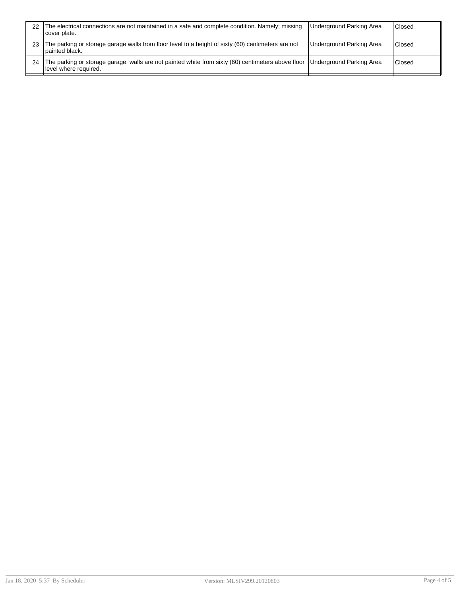| 22 | The electrical connections are not maintained in a safe and complete condition. Namely; missing<br>cover plate.                                       | Underground Parking Area        | Closed |
|----|-------------------------------------------------------------------------------------------------------------------------------------------------------|---------------------------------|--------|
| 23 | The parking or storage garage walls from floor level to a height of sixty (60) centimeters are not<br>I painted black.                                | <b>Underground Parking Area</b> | Closed |
| 24 | The parking or storage garage walls are not painted white from sixty (60) centimeters above floor  Underground Parking Area<br>llevel where required. |                                 | Closed |